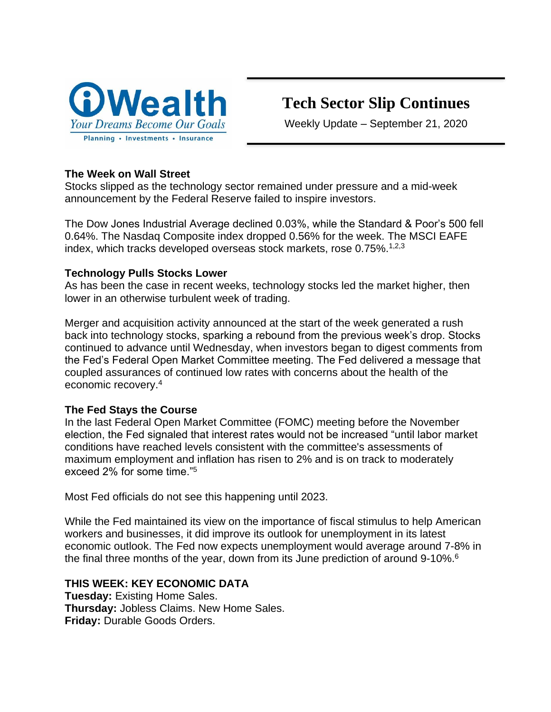

# **Tech Sector Slip Continues**

Weekly Update – September 21, 2020

# **The Week on Wall Street**

Stocks slipped as the technology sector remained under pressure and a mid-week announcement by the Federal Reserve failed to inspire investors.

The Dow Jones Industrial Average declined 0.03%, while the Standard & Poor's 500 fell 0.64%. The Nasdaq Composite index dropped 0.56% for the week. The MSCI EAFE index, which tracks developed overseas stock markets, rose 0.75%.<sup>1,2,3</sup>

## **Technology Pulls Stocks Lower**

As has been the case in recent weeks, technology stocks led the market higher, then lower in an otherwise turbulent week of trading.

Merger and acquisition activity announced at the start of the week generated a rush back into technology stocks, sparking a rebound from the previous week's drop. Stocks continued to advance until Wednesday, when investors began to digest comments from the Fed's Federal Open Market Committee meeting. The Fed delivered a message that coupled assurances of continued low rates with concerns about the health of the economic recovery.<sup>4</sup>

## **The Fed Stays the Course**

In the last Federal Open Market Committee (FOMC) meeting before the November election, the Fed signaled that interest rates would not be increased "until labor market conditions have reached levels consistent with the committee's assessments of maximum employment and inflation has risen to 2% and is on track to moderately exceed 2% for some time."<sup>5</sup>

Most Fed officials do not see this happening until 2023.

While the Fed maintained its view on the importance of fiscal stimulus to help American workers and businesses, it did improve its outlook for unemployment in its latest economic outlook. The Fed now expects unemployment would average around 7-8% in the final three months of the year, down from its June prediction of around 9-10%.<sup>6</sup>

## **THIS WEEK: KEY ECONOMIC DATA**

**Tuesday:** Existing Home Sales. **Thursday:** Jobless Claims. New Home Sales. **Friday:** Durable Goods Orders.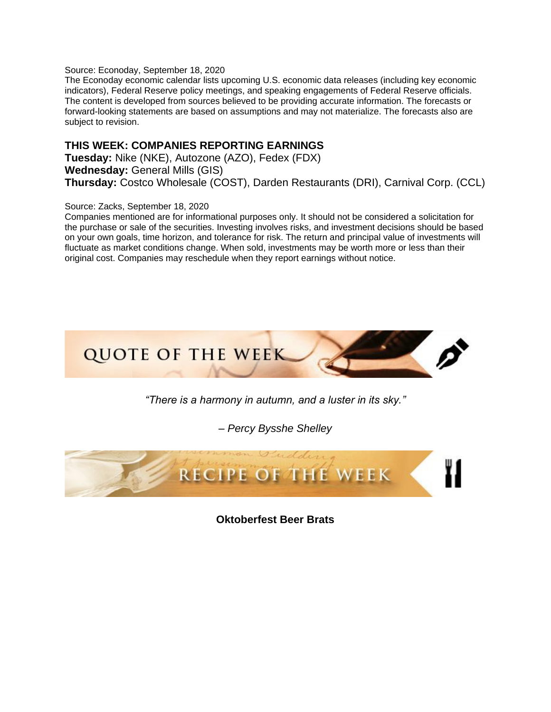Source: Econoday, September 18, 2020

The Econoday economic calendar lists upcoming U.S. economic data releases (including key economic indicators), Federal Reserve policy meetings, and speaking engagements of Federal Reserve officials. The content is developed from sources believed to be providing accurate information. The forecasts or forward-looking statements are based on assumptions and may not materialize. The forecasts also are subject to revision.

#### **THIS WEEK: COMPANIES REPORTING EARNINGS**

**Tuesday:** Nike (NKE), Autozone (AZO), Fedex (FDX) **Wednesday:** General Mills (GIS) **Thursday:** Costco Wholesale (COST), Darden Restaurants (DRI), Carnival Corp. (CCL)

#### Source: Zacks, September 18, 2020

Companies mentioned are for informational purposes only. It should not be considered a solicitation for the purchase or sale of the securities. Investing involves risks, and investment decisions should be based on your own goals, time horizon, and tolerance for risk. The return and principal value of investments will fluctuate as market conditions change. When sold, investments may be worth more or less than their original cost. Companies may reschedule when they report earnings without notice.



*"There is a harmony in autumn, and a luster in its sky."*

*– Percy Bysshe Shelley*



**Oktoberfest Beer Brats**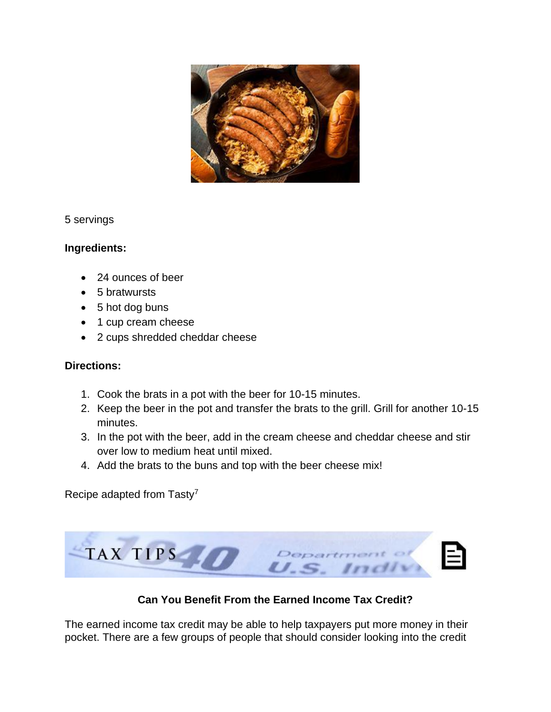

5 servings

## **Ingredients:**

- 24 ounces of beer
- 5 bratwursts
- 5 hot dog buns
- 1 cup cream cheese
- 2 cups shredded cheddar cheese

#### **Directions:**

- 1. Cook the brats in a pot with the beer for 10-15 minutes.
- 2. Keep the beer in the pot and transfer the brats to the grill. Grill for another 10-15 minutes.
- 3. In the pot with the beer, add in the cream cheese and cheddar cheese and stir over low to medium heat until mixed.
- 4. Add the brats to the buns and top with the beer cheese mix!

Recipe adapted from Tasty<sup>7</sup>



**Can You Benefit From the Earned Income Tax Credit?**

The earned income tax credit may be able to help taxpayers put more money in their pocket. There are a few groups of people that should consider looking into the credit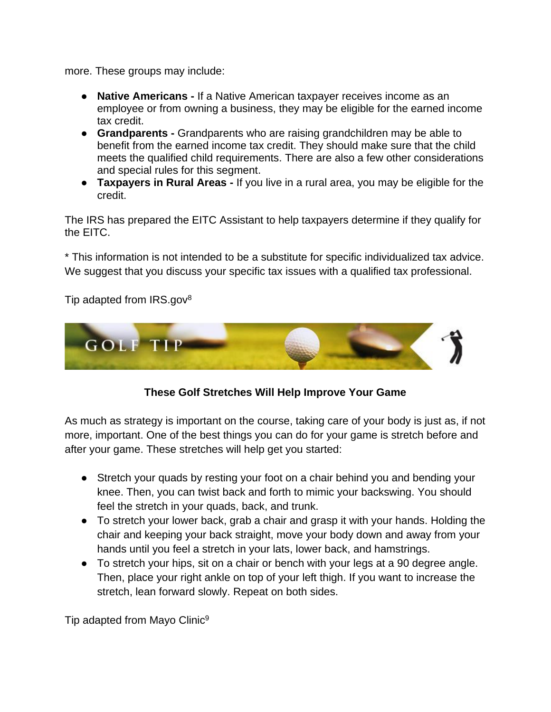more. These groups may include:

- **Native Americans -** If a Native American taxpayer receives income as an employee or from owning a business, they may be eligible for the earned income tax credit.
- **Grandparents -** Grandparents who are raising grandchildren may be able to benefit from the earned income tax credit. They should make sure that the child meets the qualified child requirements. There are also a few other considerations and special rules for this segment.
- **Taxpayers in Rural Areas -** If you live in a rural area, you may be eligible for the credit.

The IRS has prepared the EITC Assistant to help taxpayers determine if they qualify for the EITC.

\* This information is not intended to be a substitute for specific individualized tax advice. We suggest that you discuss your specific tax issues with a qualified tax professional.

Tip adapted from IRS.gov<sup>8</sup>



## **These Golf Stretches Will Help Improve Your Game**

As much as strategy is important on the course, taking care of your body is just as, if not more, important. One of the best things you can do for your game is stretch before and after your game. These stretches will help get you started:

- Stretch your quads by resting your foot on a chair behind you and bending your knee. Then, you can twist back and forth to mimic your backswing. You should feel the stretch in your quads, back, and trunk.
- To stretch your lower back, grab a chair and grasp it with your hands. Holding the chair and keeping your back straight, move your body down and away from your hands until you feel a stretch in your lats, lower back, and hamstrings.
- To stretch your hips, sit on a chair or bench with your legs at a 90 degree angle. Then, place your right ankle on top of your left thigh. If you want to increase the stretch, lean forward slowly. Repeat on both sides.

Tip adapted from Mayo Clinic<sup>9</sup>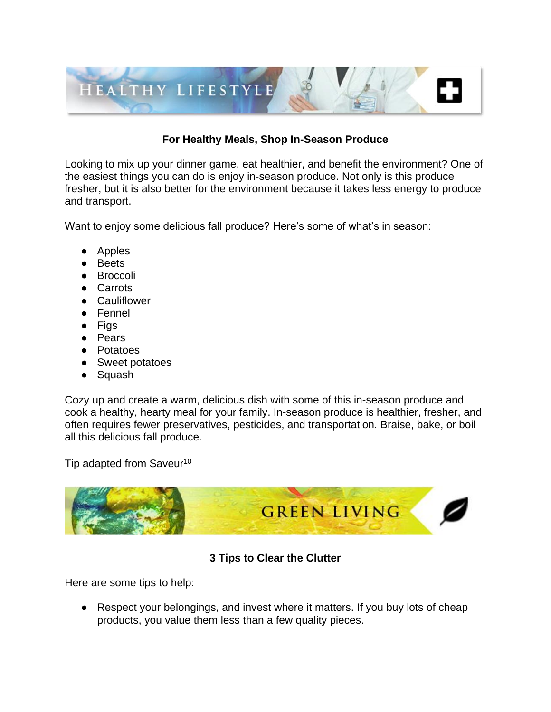

# **For Healthy Meals, Shop In-Season Produce**

Looking to mix up your dinner game, eat healthier, and benefit the environment? One of the easiest things you can do is enjoy in-season produce. Not only is this produce fresher, but it is also better for the environment because it takes less energy to produce and transport.

Want to enjoy some delicious fall produce? Here's some of what's in season:

- Apples
- Beets
- Broccoli
- Carrots
- Cauliflower
- Fennel
- Figs
- Pears
- Potatoes
- Sweet potatoes
- Squash

Cozy up and create a warm, delicious dish with some of this in-season produce and cook a healthy, hearty meal for your family. In-season produce is healthier, fresher, and often requires fewer preservatives, pesticides, and transportation. Braise, bake, or boil all this delicious fall produce.

Tip adapted from Saveur<sup>10</sup>



## **3 Tips to Clear the Clutter**

Here are some tips to help:

● Respect your belongings, and invest where it matters. If you buy lots of cheap products, you value them less than a few quality pieces.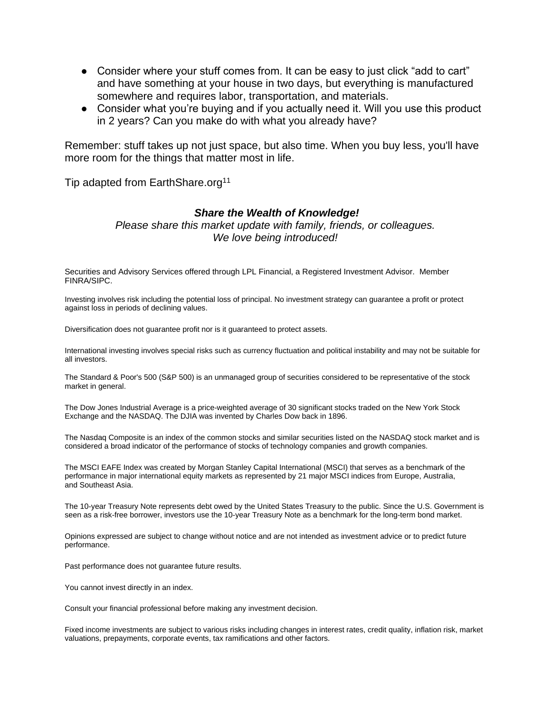- Consider where your stuff comes from. It can be easy to just click "add to cart" and have something at your house in two days, but everything is manufactured somewhere and requires labor, transportation, and materials.
- Consider what you're buying and if you actually need it. Will you use this product in 2 years? Can you make do with what you already have?

Remember: stuff takes up not just space, but also time. When you buy less, you'll have more room for the things that matter most in life.

Tip adapted from EarthShare.org<sup>11</sup>

#### *Share the Wealth of Knowledge!*

*Please share this market update with family, friends, or colleagues. We love being introduced!*

Securities and Advisory Services offered through LPL Financial, a Registered Investment Advisor. Member FINRA/SIPC.

Investing involves risk including the potential loss of principal. No investment strategy can guarantee a profit or protect against loss in periods of declining values.

Diversification does not guarantee profit nor is it guaranteed to protect assets.

International investing involves special risks such as currency fluctuation and political instability and may not be suitable for all investors.

The Standard & Poor's 500 (S&P 500) is an unmanaged group of securities considered to be representative of the stock market in general.

The Dow Jones Industrial Average is a price-weighted average of 30 significant stocks traded on the New York Stock Exchange and the NASDAQ. The DJIA was invented by Charles Dow back in 1896.

The Nasdaq Composite is an index of the common stocks and similar securities listed on the NASDAQ stock market and is considered a broad indicator of the performance of stocks of technology companies and growth companies.

The MSCI EAFE Index was created by Morgan Stanley Capital International (MSCI) that serves as a benchmark of the performance in major international equity markets as represented by 21 major MSCI indices from Europe, Australia, and Southeast Asia.

The 10-year Treasury Note represents debt owed by the United States Treasury to the public. Since the U.S. Government is seen as a risk-free borrower, investors use the 10-year Treasury Note as a benchmark for the long-term bond market.

Opinions expressed are subject to change without notice and are not intended as investment advice or to predict future performance.

Past performance does not guarantee future results.

You cannot invest directly in an index.

Consult your financial professional before making any investment decision.

Fixed income investments are subject to various risks including changes in interest rates, credit quality, inflation risk, market valuations, prepayments, corporate events, tax ramifications and other factors.